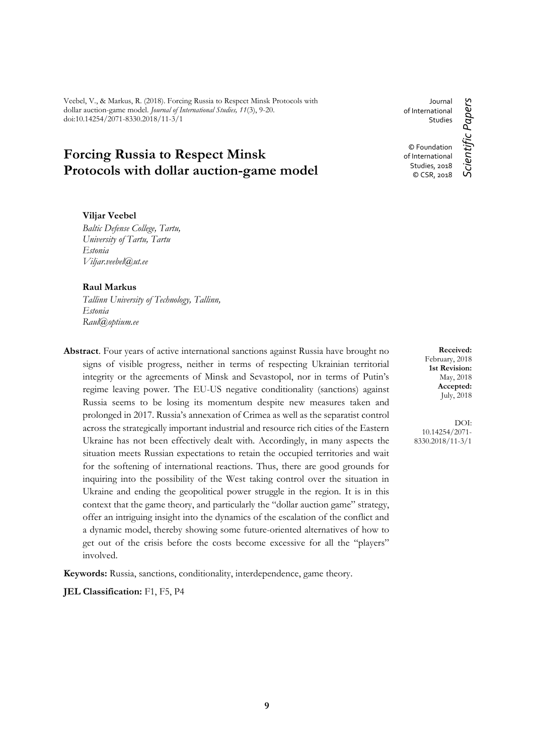Veebel, V., & Markus, R. (2018). Forcing Russia to Respect Minsk Protocols with dollar auction-game model. *Journal of International Studies, 11*(3), 9-20. doi:10.14254/2071-8330.2018/11-3/1

# **Forcing Russia to Respect Minsk Protocols with dollar auction-game model**

**Viljar Veebel**

*Baltic Defense College, Tartu, University of Tartu, Tartu Estonia Viljar.veebel@ut.ee*

### **Raul Markus**

*Tallinn University of Technology, Tallinn, Estonia Raul@optium.ee*

**Abstract**. Four years of active international sanctions against Russia have brought no signs of visible progress, neither in terms of respecting Ukrainian territorial integrity or the agreements of Minsk and Sevastopol, nor in terms of Putin's regime leaving power. The EU-US negative conditionality (sanctions) against Russia seems to be losing its momentum despite new measures taken and prolonged in 2017. Russia's annexation of Crimea as well as the separatist control across the strategically important industrial and resource rich cities of the Eastern Ukraine has not been effectively dealt with. Accordingly, in many aspects the situation meets Russian expectations to retain the occupied territories and wait for the softening of international reactions. Thus, there are good grounds for inquiring into the possibility of the West taking control over the situation in Ukraine and ending the geopolitical power struggle in the region. It is in this context that the game theory, and particularly the "dollar auction game" strategy, offer an intriguing insight into the dynamics of the escalation of the conflict and a dynamic model, thereby showing some future-oriented alternatives of how to get out of the crisis before the costs become excessive for all the "players" involved.

**Keywords:** Russia, sanctions, conditionality, interdependence, game theory.

**JEL Classification:** F1, F5, P4

Journal of International Studies © Foundation of International Studies, 2018 © CSR, 2018

Scientific Papers *Scientific Papers*

**Received:** February, 2018 **1st Revision:** May, 2018 **Accepted:** July, 2018

DOI: 10.14254/2071- 8330.2018/11-3/1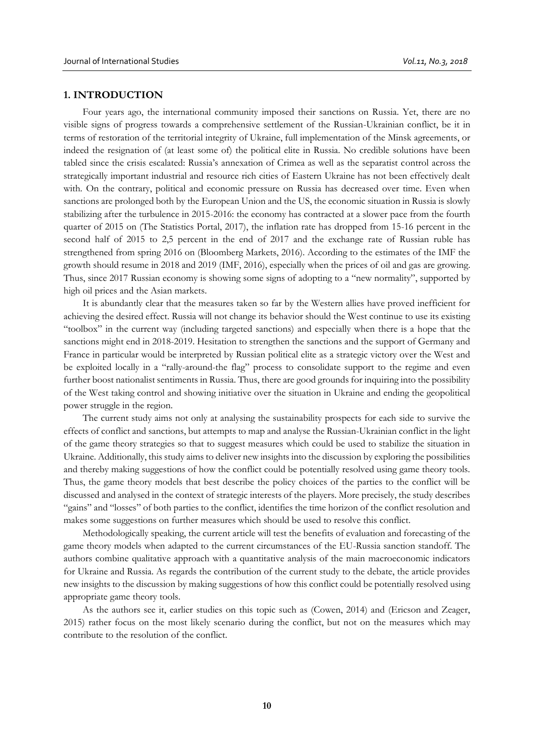### **1. INTRODUCTION**

Four years ago, the international community imposed their sanctions on Russia. Yet, there are no visible signs of progress towards a comprehensive settlement of the Russian-Ukrainian conflict, be it in terms of restoration of the territorial integrity of Ukraine, full implementation of the Minsk agreements, or indeed the resignation of (at least some of) the political elite in Russia. No credible solutions have been tabled since the crisis escalated: Russia's annexation of Crimea as well as the separatist control across the strategically important industrial and resource rich cities of Eastern Ukraine has not been effectively dealt with. On the contrary, political and economic pressure on Russia has decreased over time. Even when sanctions are prolonged both by the European Union and the US, the economic situation in Russia is slowly stabilizing after the turbulence in 2015-2016: the economy has contracted at a slower pace from the fourth quarter of 2015 on (The Statistics Portal, 2017), the inflation rate has dropped from 15-16 percent in the second half of 2015 to 2,5 percent in the end of 2017 and the exchange rate of Russian ruble has strengthened from spring 2016 on (Bloomberg Markets, 2016). According to the estimates of the IMF the growth should resume in 2018 and 2019 (IMF, 2016), especially when the prices of oil and gas are growing. Thus, since 2017 Russian economy is showing some signs of adopting to a "new normality", supported by high oil prices and the Asian markets.

It is abundantly clear that the measures taken so far by the Western allies have proved inefficient for achieving the desired effect. Russia will not change its behavior should the West continue to use its existing "toolbox" in the current way (including targeted sanctions) and especially when there is a hope that the sanctions might end in 2018-2019. Hesitation to strengthen the sanctions and the support of Germany and France in particular would be interpreted by Russian political elite as a strategic victory over the West and be exploited locally in a "rally-around-the flag" process to consolidate support to the regime and even further boost nationalist sentiments in Russia. Thus, there are good grounds for inquiring into the possibility of the West taking control and showing initiative over the situation in Ukraine and ending the geopolitical power struggle in the region.

The current study aims not only at analysing the sustainability prospects for each side to survive the effects of conflict and sanctions, but attempts to map and analyse the Russian-Ukrainian conflict in the light of the game theory strategies so that to suggest measures which could be used to stabilize the situation in Ukraine. Additionally, this study aims to deliver new insights into the discussion by exploring the possibilities and thereby making suggestions of how the conflict could be potentially resolved using game theory tools. Thus, the game theory models that best describe the policy choices of the parties to the conflict will be discussed and analysed in the context of strategic interests of the players. More precisely, the study describes "gains" and "losses" of both parties to the conflict, identifies the time horizon of the conflict resolution and makes some suggestions on further measures which should be used to resolve this conflict.

Methodologically speaking, the current article will test the benefits of evaluation and forecasting of the game theory models when adapted to the current circumstances of the EU-Russia sanction standoff. The authors combine qualitative approach with a quantitative analysis of the main macroeconomic indicators for Ukraine and Russia. As regards the contribution of the current study to the debate, the article provides new insights to the discussion by making suggestions of how this conflict could be potentially resolved using appropriate game theory tools.

As the authors see it, earlier studies on this topic such as (Cowen, 2014) and (Ericson and Zeager, 2015) rather focus on the most likely scenario during the conflict, but not on the measures which may contribute to the resolution of the conflict.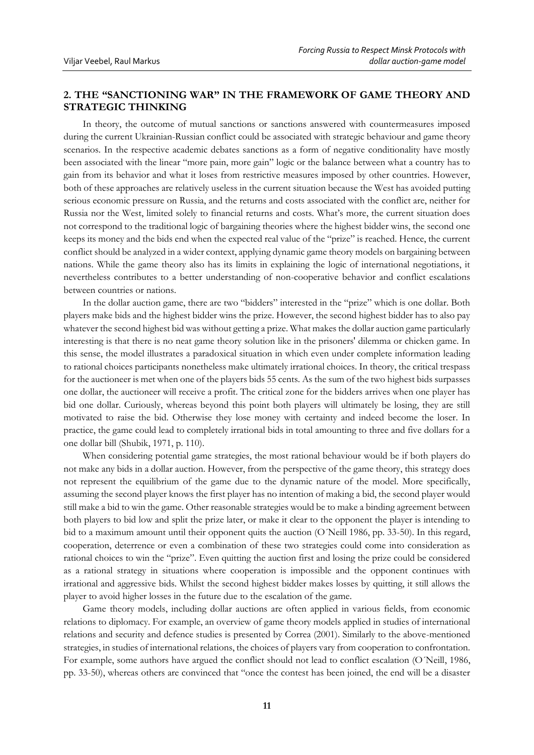# **2. THE "SANCTIONING WAR" IN THE FRAMEWORK OF GAME THEORY AND STRATEGIC THINKING**

In theory, the outcome of mutual sanctions or sanctions answered with countermeasures imposed during the current Ukrainian-Russian conflict could be associated with strategic behaviour and game theory scenarios. In the respective academic debates sanctions as a form of negative conditionality have mostly been associated with the linear "more pain, more gain" logic or the balance between what a country has to gain from its behavior and what it loses from restrictive measures imposed by other countries. However, both of these approaches are relatively useless in the current situation because the West has avoided putting serious economic pressure on Russia, and the returns and costs associated with the conflict are, neither for Russia nor the West, limited solely to financial returns and costs. What's more, the current situation does not correspond to the traditional logic of bargaining theories where the highest bidder wins, the second one keeps its money and the bids end when the expected real value of the "prize" is reached. Hence, the current conflict should be analyzed in a wider context, applying dynamic game theory models on bargaining between nations. While the game theory also has its limits in explaining the logic of international negotiations, it nevertheless contributes to a better understanding of non-cooperative behavior and conflict escalations between countries or nations.

In the dollar auction game, there are two "bidders" interested in the "prize" which is one dollar. Both players make bids and the highest bidder wins the prize. However, the second highest bidder has to also pay whatever the second highest bid was without getting a prize. What makes the dollar auction game particularly interesting is that there is no neat game theory solution like in the prisoners' dilemma or chicken game. In this sense, the model illustrates a paradoxical situation in which even under complete information leading to rational choices participants nonetheless make ultimately irrational choices. In theory, the critical trespass for the auctioneer is met when one of the players bids 55 cents. As the sum of the two highest bids surpasses one dollar, the auctioneer will receive a profit. The critical zone for the bidders arrives when one player has bid one dollar. Curiously, whereas beyond this point both players will ultimately be losing, they are still motivated to raise the bid. Otherwise they lose money with certainty and indeed become the loser. In practice, the game could lead to completely irrational bids in total amounting to three and five dollars for a one dollar bill (Shubik, 1971, p. 110).

When considering potential game strategies, the most rational behaviour would be if both players do not make any bids in a dollar auction. However, from the perspective of the game theory, this strategy does not represent the equilibrium of the game due to the dynamic nature of the model. More specifically, assuming the second player knows the first player has no intention of making a bid, the second player would still make a bid to win the game. Other reasonable strategies would be to make a binding agreement between both players to bid low and split the prize later, or make it clear to the opponent the player is intending to bid to a maximum amount until their opponent quits the auction (O´Neill 1986, pp. 33-50). In this regard, cooperation, deterrence or even a combination of these two strategies could come into consideration as rational choices to win the "prize". Even quitting the auction first and losing the prize could be considered as a rational strategy in situations where cooperation is impossible and the opponent continues with irrational and aggressive bids. Whilst the second highest bidder makes losses by quitting, it still allows the player to avoid higher losses in the future due to the escalation of the game.

Game theory models, including dollar auctions are often applied in various fields, from economic relations to diplomacy. For example, an overview of game theory models applied in studies of international relations and security and defence studies is presented by Correa (2001). Similarly to the above-mentioned strategies, in studies of international relations, the choices of players vary from cooperation to confrontation. For example, some authors have argued the conflict should not lead to conflict escalation (O´Neill, 1986, pp. 33-50), whereas others are convinced that "once the contest has been joined, the end will be a disaster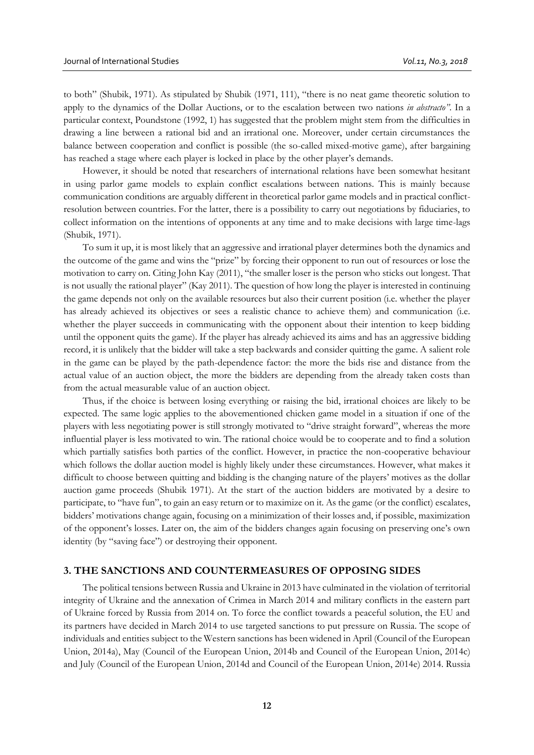to both" (Shubik, 1971). As stipulated by Shubik (1971, 111), "there is no neat game theoretic solution to apply to the dynamics of the Dollar Auctions, or to the escalation between two nations *in abstracto"*. In a particular context, Poundstone (1992, 1) has suggested that the problem might stem from the difficulties in drawing a line between a rational bid and an irrational one. Moreover, under certain circumstances the balance between cooperation and conflict is possible (the so-called mixed-motive game), after bargaining has reached a stage where each player is locked in place by the other player's demands.

However, it should be noted that researchers of international relations have been somewhat hesitant in using parlor game models to explain conflict escalations between nations. This is mainly because communication conditions are arguably different in theoretical parlor game models and in practical conflictresolution between countries. For the latter, there is a possibility to carry out negotiations by fiduciaries, to collect information on the intentions of opponents at any time and to make decisions with large time-lags (Shubik, 1971).

To sum it up, it is most likely that an aggressive and irrational player determines both the dynamics and the outcome of the game and wins the "prize" by forcing their opponent to run out of resources or lose the motivation to carry on. Citing John Kay (2011), "the smaller loser is the person who sticks out longest. That is not usually the rational player" (Kay 2011). The question of how long the player is interested in continuing the game depends not only on the available resources but also their current position (i.e. whether the player has already achieved its objectives or sees a realistic chance to achieve them) and communication (i.e. whether the player succeeds in communicating with the opponent about their intention to keep bidding until the opponent quits the game). If the player has already achieved its aims and has an aggressive bidding record, it is unlikely that the bidder will take a step backwards and consider quitting the game. A salient role in the game can be played by the path-dependence factor: the more the bids rise and distance from the actual value of an auction object, the more the bidders are depending from the already taken costs than from the actual measurable value of an auction object.

Thus, if the choice is between losing everything or raising the bid, irrational choices are likely to be expected. The same logic applies to the abovementioned chicken game model in a situation if one of the players with less negotiating power is still strongly motivated to "drive straight forward", whereas the more influential player is less motivated to win. The rational choice would be to cooperate and to find a solution which partially satisfies both parties of the conflict. However, in practice the non-cooperative behaviour which follows the dollar auction model is highly likely under these circumstances. However, what makes it difficult to choose between quitting and bidding is the changing nature of the players' motives as the dollar auction game proceeds (Shubik 1971). At the start of the auction bidders are motivated by a desire to participate, to "have fun", to gain an easy return or to maximize on it. As the game (or the conflict) escalates, bidders' motivations change again, focusing on a minimization of their losses and, if possible, maximization of the opponent's losses. Later on, the aim of the bidders changes again focusing on preserving one's own identity (by "saving face") or destroying their opponent.

### **3. THE SANCTIONS AND COUNTERMEASURES OF OPPOSING SIDES**

The political tensions between Russia and Ukraine in 2013 have culminated in the violation of territorial integrity of Ukraine and the annexation of Crimea in March 2014 and military conflicts in the eastern part of Ukraine forced by Russia from 2014 on. To force the conflict towards a peaceful solution, the EU and its partners have decided in March 2014 to use targeted sanctions to put pressure on Russia. The scope of individuals and entities subject to the Western sanctions has been widened in April (Council of the European Union, 2014a), May (Council of the European Union, 2014b and Council of the European Union, 2014c) and July (Council of the European Union, 2014d and Council of the European Union, 2014e) 2014. Russia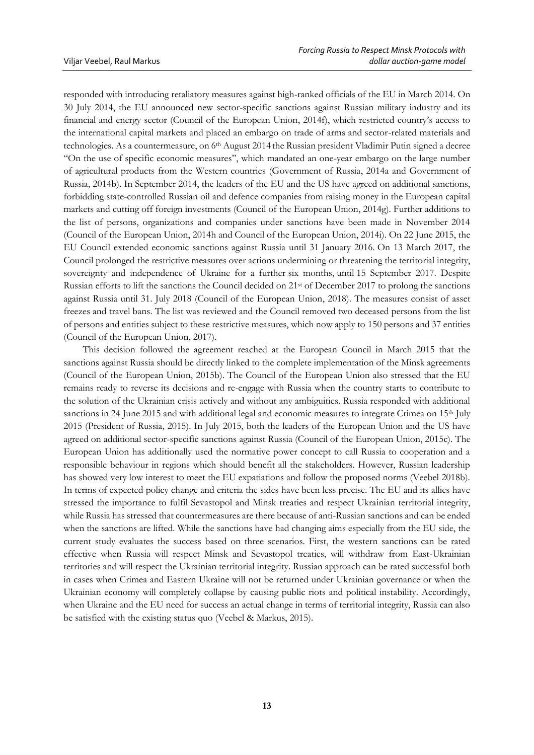responded with introducing retaliatory measures against high-ranked officials of the EU in March 2014. On 30 July 2014, the EU announced new sector-specific sanctions against Russian military industry and its financial and energy sector (Council of the European Union, 2014f), which restricted country's access to the international capital markets and placed an embargo on trade of arms and sector-related materials and technologies. As a countermeasure, on 6<sup>th</sup> August 2014 the Russian president Vladimir Putin signed a decree "On the use of specific economic measures", which mandated an one-year embargo on the large number of agricultural products from the Western countries (Government of Russia, 2014a and Government of Russia, 2014b). In September 2014, the leaders of the EU and the US have agreed on additional sanctions, forbidding state-controlled Russian oil and defence companies from raising money in the European capital markets and cutting off foreign investments (Council of the European Union, 2014g). Further additions to the list of persons, organizations and companies under sanctions have been made in November 2014 (Council of the European Union, 2014h and Council of the European Union, 2014i). On 22 June 2015, the EU Council extended economic sanctions against Russia until 31 January 2016. On 13 March 2017, the Council prolonged the restrictive measures over actions undermining or threatening the territorial integrity, sovereignty and independence of Ukraine for a further six months, until 15 September 2017. Despite Russian efforts to lift the sanctions the Council decided on 21st of December 2017 to prolong the sanctions against Russia until 31. July 2018 (Council of the European Union, 2018). The measures consist of asset freezes and travel bans. The list was reviewed and the Council removed two deceased persons from the list of persons and entities subject to these restrictive measures, which now apply to 150 persons and 37 entities (Council of the European Union, 2017).

This decision followed the agreement reached at the European Council in March 2015 that the sanctions against Russia should be directly linked to the complete implementation of the Minsk agreements (Council of the European Union, 2015b). The Council of the European Union also stressed that the EU remains ready to reverse its decisions and re-engage with Russia when the country starts to contribute to the solution of the Ukrainian crisis actively and without any ambiguities. Russia responded with additional sanctions in 24 June 2015 and with additional legal and economic measures to integrate Crimea on 15<sup>th</sup> July 2015 (President of Russia, 2015). In July 2015, both the leaders of the European Union and the US have agreed on additional sector-specific sanctions against Russia (Council of the European Union, 2015c). The European Union has additionally used the normative power concept to call Russia to cooperation and a responsible behaviour in regions which should benefit all the stakeholders. However, Russian leadership has showed very low interest to meet the EU expatiations and follow the proposed norms (Veebel 2018b). In terms of expected policy change and criteria the sides have been less precise. The EU and its allies have stressed the importance to fulfil Sevastopol and Minsk treaties and respect Ukrainian territorial integrity, while Russia has stressed that countermeasures are there because of anti-Russian sanctions and can be ended when the sanctions are lifted. While the sanctions have had changing aims especially from the EU side, the current study evaluates the success based on three scenarios. First, the western sanctions can be rated effective when Russia will respect Minsk and Sevastopol treaties, will withdraw from East-Ukrainian territories and will respect the Ukrainian territorial integrity. Russian approach can be rated successful both in cases when Crimea and Eastern Ukraine will not be returned under Ukrainian governance or when the Ukrainian economy will completely collapse by causing public riots and political instability. Accordingly, when Ukraine and the EU need for success an actual change in terms of territorial integrity, Russia can also be satisfied with the existing status quo (Veebel & Markus, 2015).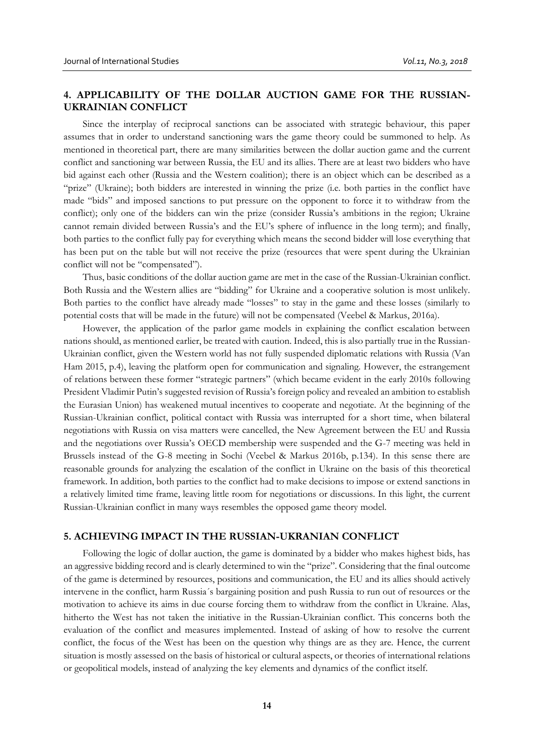# **4. APPLICABILITY OF THE DOLLAR AUCTION GAME FOR THE RUSSIAN-UKRAINIAN CONFLICT**

Since the interplay of reciprocal sanctions can be associated with strategic behaviour, this paper assumes that in order to understand sanctioning wars the game theory could be summoned to help. As mentioned in theoretical part, there are many similarities between the dollar auction game and the current conflict and sanctioning war between Russia, the EU and its allies. There are at least two bidders who have bid against each other (Russia and the Western coalition); there is an object which can be described as a "prize" (Ukraine); both bidders are interested in winning the prize (i.e. both parties in the conflict have made "bids" and imposed sanctions to put pressure on the opponent to force it to withdraw from the conflict); only one of the bidders can win the prize (consider Russia's ambitions in the region; Ukraine cannot remain divided between Russia's and the EU's sphere of influence in the long term); and finally, both parties to the conflict fully pay for everything which means the second bidder will lose everything that has been put on the table but will not receive the prize (resources that were spent during the Ukrainian conflict will not be "compensated").

Thus, basic conditions of the dollar auction game are met in the case of the Russian-Ukrainian conflict. Both Russia and the Western allies are "bidding" for Ukraine and a cooperative solution is most unlikely. Both parties to the conflict have already made "losses" to stay in the game and these losses (similarly to potential costs that will be made in the future) will not be compensated (Veebel & Markus, 2016a).

However, the application of the parlor game models in explaining the conflict escalation between nations should, as mentioned earlier, be treated with caution. Indeed, this is also partially true in the Russian-Ukrainian conflict, given the Western world has not fully suspended diplomatic relations with Russia (Van Ham 2015, p.4), leaving the platform open for communication and signaling. However, the estrangement of relations between these former "strategic partners" (which became evident in the early 2010s following President Vladimir Putin's suggested revision of Russia's foreign policy and revealed an ambition to establish the Eurasian Union) has weakened mutual incentives to cooperate and negotiate. At the beginning of the Russian-Ukrainian conflict, political contact with Russia was interrupted for a short time, when bilateral negotiations with Russia on visa matters were cancelled, the New Agreement between the EU and Russia and the negotiations over Russia's OECD membership were suspended and the G-7 meeting was held in Brussels instead of the G-8 meeting in Sochi (Veebel & Markus 2016b, p.134). In this sense there are reasonable grounds for analyzing the escalation of the conflict in Ukraine on the basis of this theoretical framework. In addition, both parties to the conflict had to make decisions to impose or extend sanctions in a relatively limited time frame, leaving little room for negotiations or discussions. In this light, the current Russian-Ukrainian conflict in many ways resembles the opposed game theory model.

### **5. ACHIEVING IMPACT IN THE RUSSIAN-UKRANIAN CONFLICT**

Following the logic of dollar auction, the game is dominated by a bidder who makes highest bids, has an aggressive bidding record and is clearly determined to win the "prize". Considering that the final outcome of the game is determined by resources, positions and communication, the EU and its allies should actively intervene in the conflict, harm Russia´s bargaining position and push Russia to run out of resources or the motivation to achieve its aims in due course forcing them to withdraw from the conflict in Ukraine. Alas, hitherto the West has not taken the initiative in the Russian-Ukrainian conflict. This concerns both the evaluation of the conflict and measures implemented. Instead of asking of how to resolve the current conflict, the focus of the West has been on the question why things are as they are. Hence, the current situation is mostly assessed on the basis of historical or cultural aspects, or theories of international relations or geopolitical models, instead of analyzing the key elements and dynamics of the conflict itself.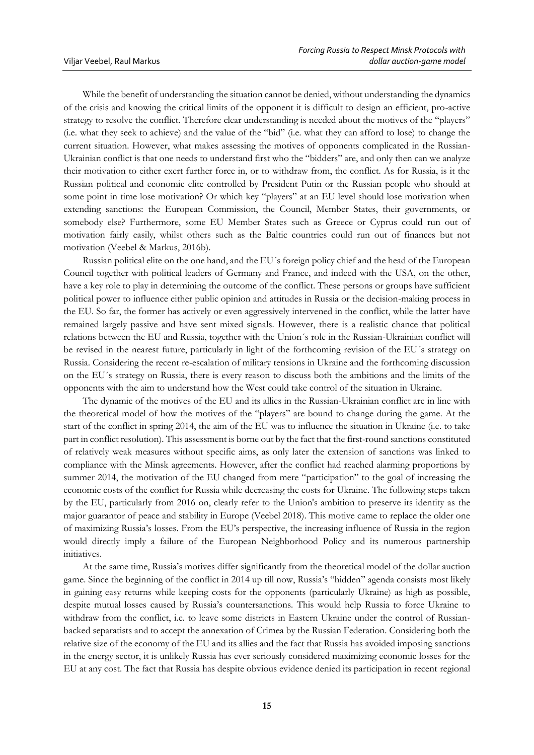While the benefit of understanding the situation cannot be denied, without understanding the dynamics of the crisis and knowing the critical limits of the opponent it is difficult to design an efficient, pro-active strategy to resolve the conflict. Therefore clear understanding is needed about the motives of the "players" (i.e. what they seek to achieve) and the value of the "bid" (i.e. what they can afford to lose) to change the current situation. However, what makes assessing the motives of opponents complicated in the Russian-Ukrainian conflict is that one needs to understand first who the "bidders" are, and only then can we analyze their motivation to either exert further force in, or to withdraw from, the conflict. As for Russia, is it the Russian political and economic elite controlled by President Putin or the Russian people who should at some point in time lose motivation? Or which key "players" at an EU level should lose motivation when extending sanctions: the European Commission, the Council, Member States, their governments, or somebody else? Furthermore, some EU Member States such as Greece or Cyprus could run out of motivation fairly easily, whilst others such as the Baltic countries could run out of finances but not motivation (Veebel & Markus, 2016b).

Russian political elite on the one hand, and the EU´s foreign policy chief and the head of the European Council together with political leaders of Germany and France, and indeed with the USA, on the other, have a key role to play in determining the outcome of the conflict. These persons or groups have sufficient political power to influence either public opinion and attitudes in Russia or the decision-making process in the EU. So far, the former has actively or even aggressively intervened in the conflict, while the latter have remained largely passive and have sent mixed signals. However, there is a realistic chance that political relations between the EU and Russia, together with the Union´s role in the Russian-Ukrainian conflict will be revised in the nearest future, particularly in light of the forthcoming revision of the EU´s strategy on Russia. Considering the recent re-escalation of military tensions in Ukraine and the forthcoming discussion on the EU´s strategy on Russia, there is every reason to discuss both the ambitions and the limits of the opponents with the aim to understand how the West could take control of the situation in Ukraine.

The dynamic of the motives of the EU and its allies in the Russian-Ukrainian conflict are in line with the theoretical model of how the motives of the "players" are bound to change during the game. At the start of the conflict in spring 2014, the aim of the EU was to influence the situation in Ukraine (i.e. to take part in conflict resolution). This assessment is borne out by the fact that the first-round sanctions constituted of relatively weak measures without specific aims, as only later the extension of sanctions was linked to compliance with the Minsk agreements. However, after the conflict had reached alarming proportions by summer 2014, the motivation of the EU changed from mere "participation" to the goal of increasing the economic costs of the conflict for Russia while decreasing the costs for Ukraine. The following steps taken by the EU, particularly from 2016 on, clearly refer to the Union's ambition to preserve its identity as the major guarantor of peace and stability in Europe (Veebel 2018). This motive came to replace the older one of maximizing Russia's losses. From the EU's perspective, the increasing influence of Russia in the region would directly imply a failure of the European Neighborhood Policy and its numerous partnership initiatives.

At the same time, Russia's motives differ significantly from the theoretical model of the dollar auction game. Since the beginning of the conflict in 2014 up till now, Russia's "hidden" agenda consists most likely in gaining easy returns while keeping costs for the opponents (particularly Ukraine) as high as possible, despite mutual losses caused by Russia's countersanctions. This would help Russia to force Ukraine to withdraw from the conflict, i.e. to leave some districts in Eastern Ukraine under the control of Russianbacked separatists and to accept the annexation of Crimea by the Russian Federation. Considering both the relative size of the economy of the EU and its allies and the fact that Russia has avoided imposing sanctions in the energy sector, it is unlikely Russia has ever seriously considered maximizing economic losses for the EU at any cost. The fact that Russia has despite obvious evidence denied its participation in recent regional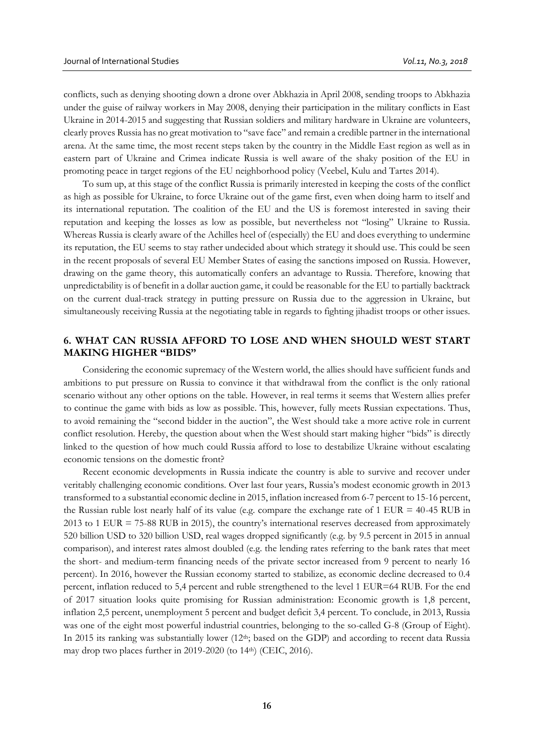conflicts, such as denying shooting down a drone over Abkhazia in April 2008, sending troops to Abkhazia under the guise of railway workers in May 2008, denying their participation in the military conflicts in East Ukraine in 2014-2015 and suggesting that Russian soldiers and military hardware in Ukraine are volunteers, clearly proves Russia has no great motivation to "save face" and remain a credible partner in the international arena. At the same time, the most recent steps taken by the country in the Middle East region as well as in eastern part of Ukraine and Crimea indicate Russia is well aware of the shaky position of the EU in promoting peace in target regions of the EU neighborhood policy (Veebel, Kulu and Tartes 2014).

To sum up, at this stage of the conflict Russia is primarily interested in keeping the costs of the conflict as high as possible for Ukraine, to force Ukraine out of the game first, even when doing harm to itself and its international reputation. The coalition of the EU and the US is foremost interested in saving their reputation and keeping the losses as low as possible, but nevertheless not "losing" Ukraine to Russia. Whereas Russia is clearly aware of the Achilles heel of (especially) the EU and does everything to undermine its reputation, the EU seems to stay rather undecided about which strategy it should use. This could be seen in the recent proposals of several EU Member States of easing the sanctions imposed on Russia. However, drawing on the game theory, this automatically confers an advantage to Russia. Therefore, knowing that unpredictability is of benefit in a dollar auction game, it could be reasonable for the EU to partially backtrack on the current dual-track strategy in putting pressure on Russia due to the aggression in Ukraine, but simultaneously receiving Russia at the negotiating table in regards to fighting jihadist troops or other issues.

### **6. WHAT CAN RUSSIA AFFORD TO LOSE AND WHEN SHOULD WEST START MAKING HIGHER "BIDS"**

Considering the economic supremacy of the Western world, the allies should have sufficient funds and ambitions to put pressure on Russia to convince it that withdrawal from the conflict is the only rational scenario without any other options on the table. However, in real terms it seems that Western allies prefer to continue the game with bids as low as possible. This, however, fully meets Russian expectations. Thus, to avoid remaining the "second bidder in the auction", the West should take a more active role in current conflict resolution. Hereby, the question about when the West should start making higher "bids" is directly linked to the question of how much could Russia afford to lose to destabilize Ukraine without escalating economic tensions on the domestic front?

Recent economic developments in Russia indicate the country is able to survive and recover under veritably challenging economic conditions. Over last four years, Russia's modest economic growth in 2013 transformed to a substantial economic decline in 2015, inflation increased from 6-7 percent to 15-16 percent, the Russian ruble lost nearly half of its value (e.g. compare the exchange rate of 1 EUR = 40-45 RUB in 2013 to 1 EUR = 75-88 RUB in 2015), the country's international reserves decreased from approximately 520 billion USD to 320 billion USD, real wages dropped significantly (e.g. by 9.5 percent in 2015 in annual comparison), and interest rates almost doubled (e.g. the lending rates referring to the bank rates that meet the short- and medium-term financing needs of the private sector increased from 9 percent to nearly 16 percent). In 2016, however the Russian economy started to stabilize, as economic decline decreased to 0.4 percent, inflation reduced to 5,4 percent and ruble strengthened to the level 1 EUR=64 RUB. For the end of 2017 situation looks quite promising for Russian administration: Economic growth is 1,8 percent, inflation 2,5 percent, unemployment 5 percent and budget deficit 3,4 percent. To conclude, in 2013, Russia was one of the eight most powerful industrial countries, belonging to the so-called G-8 (Group of Eight). In 2015 its ranking was substantially lower (12<sup>th</sup>; based on the GDP) and according to recent data Russia may drop two places further in 2019-2020 (to 14th) (CEIC, 2016).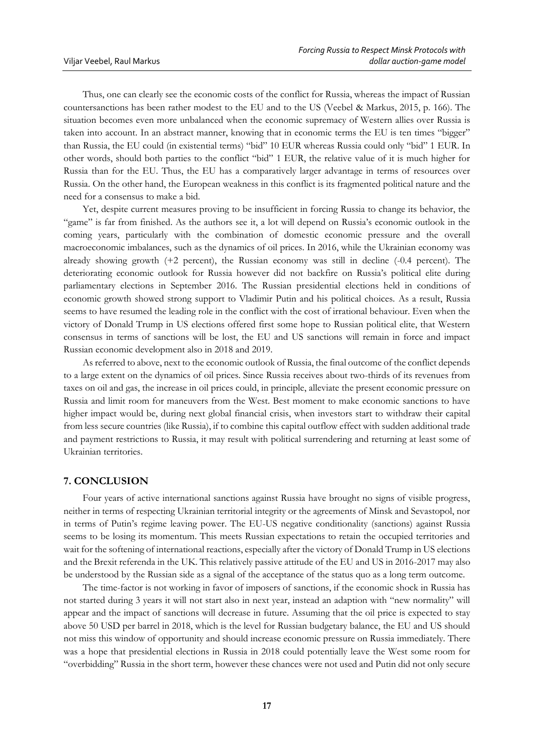Thus, one can clearly see the economic costs of the conflict for Russia, whereas the impact of Russian countersanctions has been rather modest to the EU and to the US (Veebel & Markus, 2015, p. 166). The situation becomes even more unbalanced when the economic supremacy of Western allies over Russia is taken into account. In an abstract manner, knowing that in economic terms the EU is ten times "bigger" than Russia, the EU could (in existential terms) "bid" 10 EUR whereas Russia could only "bid" 1 EUR. In other words, should both parties to the conflict "bid" 1 EUR, the relative value of it is much higher for Russia than for the EU. Thus, the EU has a comparatively larger advantage in terms of resources over Russia. On the other hand, the European weakness in this conflict is its fragmented political nature and the need for a consensus to make a bid.

Yet, despite current measures proving to be insufficient in forcing Russia to change its behavior, the "game" is far from finished. As the authors see it, a lot will depend on Russia's economic outlook in the coming years, particularly with the combination of domestic economic pressure and the overall macroeconomic imbalances, such as the dynamics of oil prices. In 2016, while the Ukrainian economy was already showing growth (+2 percent), the Russian economy was still in decline (-0.4 percent). The deteriorating economic outlook for Russia however did not backfire on Russia's political elite during parliamentary elections in September 2016. The Russian presidential elections held in conditions of economic growth showed strong support to Vladimir Putin and his political choices. As a result, Russia seems to have resumed the leading role in the conflict with the cost of irrational behaviour. Even when the victory of Donald Trump in US elections offered first some hope to Russian political elite, that Western consensus in terms of sanctions will be lost, the EU and US sanctions will remain in force and impact Russian economic development also in 2018 and 2019.

As referred to above, next to the economic outlook of Russia, the final outcome of the conflict depends to a large extent on the dynamics of oil prices. Since Russia receives about two-thirds of its revenues from taxes on oil and gas, the increase in oil prices could, in principle, alleviate the present economic pressure on Russia and limit room for maneuvers from the West. Best moment to make economic sanctions to have higher impact would be, during next global financial crisis, when investors start to withdraw their capital from less secure countries (like Russia), if to combine this capital outflow effect with sudden additional trade and payment restrictions to Russia, it may result with political surrendering and returning at least some of Ukrainian territories.

#### **7. CONCLUSION**

Four years of active international sanctions against Russia have brought no signs of visible progress, neither in terms of respecting Ukrainian territorial integrity or the agreements of Minsk and Sevastopol, nor in terms of Putin's regime leaving power. The EU-US negative conditionality (sanctions) against Russia seems to be losing its momentum. This meets Russian expectations to retain the occupied territories and wait for the softening of international reactions, especially after the victory of Donald Trump in US elections and the Brexit referenda in the UK. This relatively passive attitude of the EU and US in 2016-2017 may also be understood by the Russian side as a signal of the acceptance of the status quo as a long term outcome.

The time-factor is not working in favor of imposers of sanctions, if the economic shock in Russia has not started during 3 years it will not start also in next year, instead an adaption with "new normality" will appear and the impact of sanctions will decrease in future. Assuming that the oil price is expected to stay above 50 USD per barrel in 2018, which is the level for Russian budgetary balance, the EU and US should not miss this window of opportunity and should increase economic pressure on Russia immediately. There was a hope that presidential elections in Russia in 2018 could potentially leave the West some room for "overbidding" Russia in the short term, however these chances were not used and Putin did not only secure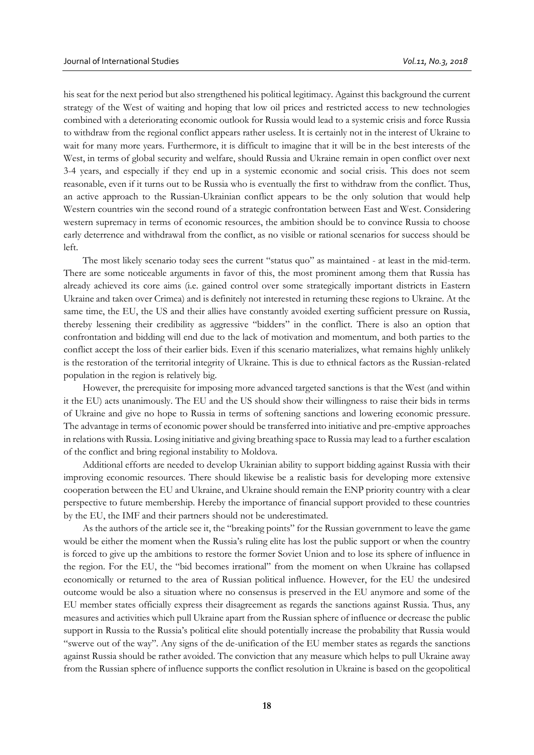his seat for the next period but also strengthened his political legitimacy. Against this background the current strategy of the West of waiting and hoping that low oil prices and restricted access to new technologies combined with a deteriorating economic outlook for Russia would lead to a systemic crisis and force Russia to withdraw from the regional conflict appears rather useless. It is certainly not in the interest of Ukraine to wait for many more years. Furthermore, it is difficult to imagine that it will be in the best interests of the West, in terms of global security and welfare, should Russia and Ukraine remain in open conflict over next 3-4 years, and especially if they end up in a systemic economic and social crisis. This does not seem reasonable, even if it turns out to be Russia who is eventually the first to withdraw from the conflict. Thus, an active approach to the Russian-Ukrainian conflict appears to be the only solution that would help Western countries win the second round of a strategic confrontation between East and West. Considering western supremacy in terms of economic resources, the ambition should be to convince Russia to choose early deterrence and withdrawal from the conflict, as no visible or rational scenarios for success should be left.

The most likely scenario today sees the current "status quo" as maintained - at least in the mid-term. There are some noticeable arguments in favor of this, the most prominent among them that Russia has already achieved its core aims (i.e. gained control over some strategically important districts in Eastern Ukraine and taken over Crimea) and is definitely not interested in returning these regions to Ukraine. At the same time, the EU, the US and their allies have constantly avoided exerting sufficient pressure on Russia, thereby lessening their credibility as aggressive "bidders" in the conflict. There is also an option that confrontation and bidding will end due to the lack of motivation and momentum, and both parties to the conflict accept the loss of their earlier bids. Even if this scenario materializes, what remains highly unlikely is the restoration of the territorial integrity of Ukraine. This is due to ethnical factors as the Russian-related population in the region is relatively big.

However, the prerequisite for imposing more advanced targeted sanctions is that the West (and within it the EU) acts unanimously. The EU and the US should show their willingness to raise their bids in terms of Ukraine and give no hope to Russia in terms of softening sanctions and lowering economic pressure. The advantage in terms of economic power should be transferred into initiative and pre-emptive approaches in relations with Russia. Losing initiative and giving breathing space to Russia may lead to a further escalation of the conflict and bring regional instability to Moldova.

Additional efforts are needed to develop Ukrainian ability to support bidding against Russia with their improving economic resources. There should likewise be a realistic basis for developing more extensive cooperation between the EU and Ukraine, and Ukraine should remain the ENP priority country with a clear perspective to future membership. Hereby the importance of financial support provided to these countries by the EU, the IMF and their partners should not be underestimated.

As the authors of the article see it, the "breaking points" for the Russian government to leave the game would be either the moment when the Russia's ruling elite has lost the public support or when the country is forced to give up the ambitions to restore the former Soviet Union and to lose its sphere of influence in the region. For the EU, the "bid becomes irrational" from the moment on when Ukraine has collapsed economically or returned to the area of Russian political influence. However, for the EU the undesired outcome would be also a situation where no consensus is preserved in the EU anymore and some of the EU member states officially express their disagreement as regards the sanctions against Russia. Thus, any measures and activities which pull Ukraine apart from the Russian sphere of influence or decrease the public support in Russia to the Russia's political elite should potentially increase the probability that Russia would "swerve out of the way". Any signs of the de-unification of the EU member states as regards the sanctions against Russia should be rather avoided. The conviction that any measure which helps to pull Ukraine away from the Russian sphere of influence supports the conflict resolution in Ukraine is based on the geopolitical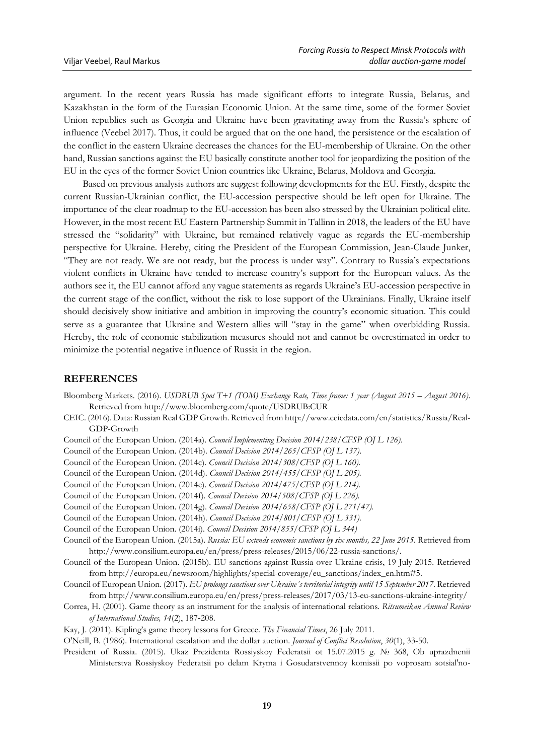argument. In the recent years Russia has made significant efforts to integrate Russia, Belarus, and Kazakhstan in the form of the Eurasian Economic Union. At the same time, some of the former Soviet Union republics such as Georgia and Ukraine have been gravitating away from the Russia's sphere of influence (Veebel 2017). Thus, it could be argued that on the one hand, the persistence or the escalation of the conflict in the eastern Ukraine decreases the chances for the EU-membership of Ukraine. On the other hand, Russian sanctions against the EU basically constitute another tool for jeopardizing the position of the EU in the eyes of the former Soviet Union countries like Ukraine, Belarus, Moldova and Georgia.

Based on previous analysis authors are suggest following developments for the EU. Firstly, despite the current Russian-Ukrainian conflict, the EU-accession perspective should be left open for Ukraine. The importance of the clear roadmap to the EU-accession has been also stressed by the Ukrainian political elite. However, in the most recent EU Eastern Partnership Summit in Tallinn in 2018, the leaders of the EU have stressed the "solidarity" with Ukraine, but remained relatively vague as regards the EU-membership perspective for Ukraine. Hereby, citing the President of the European Commission, Jean-Claude Junker, "They are not ready. We are not ready, but the process is under way". Contrary to Russia's expectations violent conflicts in Ukraine have tended to increase country's support for the European values. As the authors see it, the EU cannot afford any vague statements as regards Ukraine's EU-accession perspective in the current stage of the conflict, without the risk to lose support of the Ukrainians. Finally, Ukraine itself should decisively show initiative and ambition in improving the country's economic situation. This could serve as a guarantee that Ukraine and Western allies will "stay in the game" when overbidding Russia. Hereby, the role of economic stabilization measures should not and cannot be overestimated in order to minimize the potential negative influence of Russia in the region.

#### **REFERENCES**

- Bloomberg Markets. (2016). *USDRUB Spot T+1 (TOM) Exchange Rate, Time frame: 1 year (August 2015 August 2016)*. Retrieved from http://www.bloomberg.com/quote/USDRUB:CUR
- CEIC. (2016). Data: Russian Real GDP Growth. Retrieved from http://www.ceicdata.com/en/statistics/Russia/Real-GDP-Growth
- Council of the European Union. (2014a). *[Council Implementing Decision 2014/238/CFSP](http://eur-lex.europa.eu/legal-content/EN/TXT/PDF/?uri=CELEX:32014D0238&from=EN) (OJ L 126)*.
- Council of the European Union. (2014b). *[Council Decision 2014/265/CFSP](http://eur-lex.europa.eu/legal-content/EN/TXT/PDF/?uri=CELEX:32014D0265&from=EN) (OJ L 137)*.
- Council of the European Union. (2014c). *[Council Decision 2014/308/CFSP](http://eur-lex.europa.eu/legal-content/EN/TXT/PDF/?uri=CELEX:32014D0308&from=EN) (OJ L 160).*
- Council of the European Union. (2014d). *[Council Decision 2014/455/CFSP](http://eur-lex.europa.eu/legal-content/EN/TXT/PDF/?uri=CELEX:32014D0455&from=EN) (OJ L 205).*
- Council of the European Union. (2014e). *[Council Decision 2014/475/CFSP](http://eur-lex.europa.eu/legal-content/EN/TXT/PDF/?uri=CELEX:32014D0475&from=EN) (OJ L 214).*
- Council of the European Union. (2014f). *[Council Decision 2014/508/CFSP](http://eur-lex.europa.eu/legal-content/EN/TXT/PDF/?uri=CELEX:32014D0508&from=EN) (OJ L 226).*
- Council of the European Union. (2014g). *[Council Decision 2014/658/CFSP](http://eur-lex.europa.eu/legal-content/EN/TXT/?uri=OJ:JOL_2014_271_R_0008) [\(](http://eur-lex.europa.eu/legal-content/EN/TXT/?uri=OJ:JOL_2014_271_R_0008)OJ L 271/47).*
- Council of the European Union. (2014h). *[Council Decision 2014/801/CFSP \(OJ L 331\).](http://eur-lex.europa.eu/legal-content/EN/TXT/?uri=uriserv:OJ.L_.2014.331.01.0026.01.ENG)*
- Council of the European Union. (2014i). *[Council Decision 2014/855/CFSP \(OJ L 344\)](http://eur-lex.europa.eu/legal-content/EN/TXT/?uri=uriserv:OJ.L_.2014.344.01.0022.01.ENG)*
- Council of the European Union. (2015a). *Russia: EU extends economic sanctions by six months, 22 June 2015*. Retrieved from [http://www.consilium.europa.eu/en/press/press-releases/2015/06/22-russia-sanctions/.](http://www.consilium.europa.eu/en/press/press-releases/2015/06/22-russia-sanctions/)
- Council of the European Union. (2015b). EU sanctions against Russia over Ukraine crisis, 19 July 2015. Retrieved from [http://europa.eu/newsroom/highlights/special-coverage/eu\\_sanctions/index\\_en.htm#5.](http://europa.eu/newsroom/highlights/special-coverage/eu_sanctions/index_en.htm#5)
- Council of European Union. (2017). *EU prolongs sanctions over Ukraine´s territorial integrity until 15 September 2017*. Retrieved from http://www.consilium.europa.eu/en/press/press-releases/2017/03/13-eu-sanctions-ukraine-integrity/
- Correa, H. (2001). Game theory as an instrument for the analysis of international relations. *Ritsumeikan Annual Review of International Studies, 14*(2), 187-208.
- Kay, J. (2011). Kipling's game theory lessons for Greece. *The Financial Times*, 26 July 2011.
- O'Neill, B. (1986). International escalation and the dollar auction. *Journal of Conflict Resolution*, *30*(1), 33-50.
- President of Russia. (2015). Ukaz Prezidenta Rossiyskoy Federatsii ot 15.07.2015 g. № 368, Ob uprazdnenii Ministerstva Rossiyskoy Federatsii po delam Kryma i Gosudarstvennoy komissii po voprosam sotsial'no-